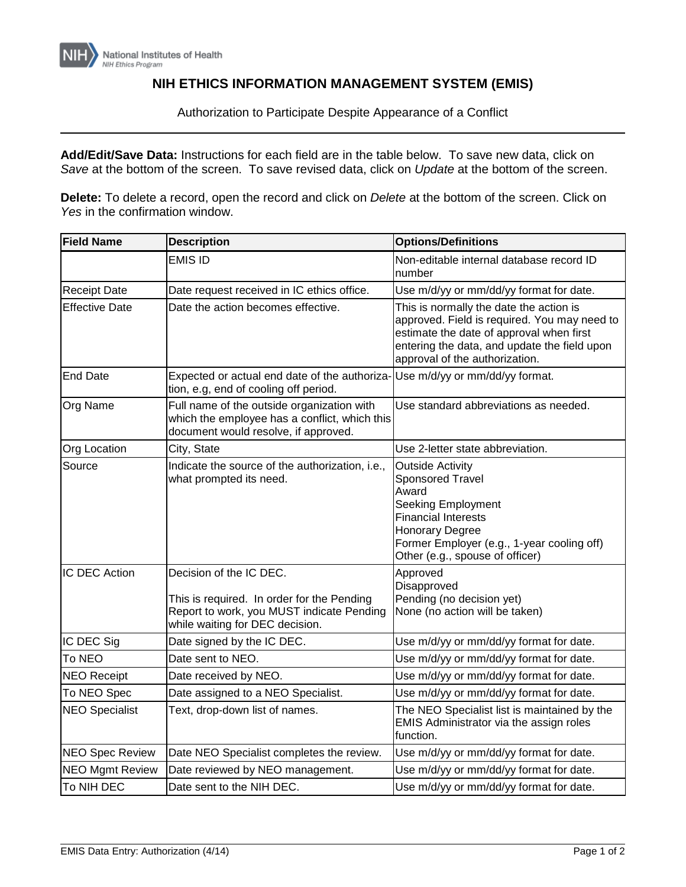## **NIH ETHICS INFORMATION MANAGEMENT SYSTEM (EMIS)**

Authorization to Participate Despite Appearance of a Conflict

**Add/Edit/Save Data:** Instructions for each field are in the table below. To save new data, click on *Save* at the bottom of the screen. To save revised data, click on *Update* at the bottom of the screen.

**Delete:** To delete a record, open the record and click on *Delete* at the bottom of the screen. Click on *Yes* in the confirmation window.

| <b>Field Name</b>      | <b>Description</b>                                                                                                                                    | <b>Options/Definitions</b>                                                                                                                                                                                                 |
|------------------------|-------------------------------------------------------------------------------------------------------------------------------------------------------|----------------------------------------------------------------------------------------------------------------------------------------------------------------------------------------------------------------------------|
|                        | <b>EMIS ID</b>                                                                                                                                        | Non-editable internal database record ID<br>number                                                                                                                                                                         |
| <b>Receipt Date</b>    | Date request received in IC ethics office.                                                                                                            | Use m/d/yy or mm/dd/yy format for date.                                                                                                                                                                                    |
| <b>Effective Date</b>  | Date the action becomes effective.                                                                                                                    | This is normally the date the action is<br>approved. Field is required. You may need to<br>estimate the date of approval when first<br>entering the data, and update the field upon<br>approval of the authorization.      |
| <b>End Date</b>        | Expected or actual end date of the authoriza-<br>tion, e.g, end of cooling off period.                                                                | Use m/d/yy or mm/dd/yy format.                                                                                                                                                                                             |
| Org Name               | Full name of the outside organization with<br>which the employee has a conflict, which this<br>document would resolve, if approved.                   | Use standard abbreviations as needed.                                                                                                                                                                                      |
| <b>Org Location</b>    | City, State                                                                                                                                           | Use 2-letter state abbreviation.                                                                                                                                                                                           |
| Source                 | Indicate the source of the authorization, i.e.,<br>what prompted its need.                                                                            | <b>Outside Activity</b><br><b>Sponsored Travel</b><br>Award<br>Seeking Employment<br><b>Financial Interests</b><br><b>Honorary Degree</b><br>Former Employer (e.g., 1-year cooling off)<br>Other (e.g., spouse of officer) |
| <b>IC DEC Action</b>   | Decision of the IC DEC.<br>This is required. In order for the Pending<br>Report to work, you MUST indicate Pending<br>while waiting for DEC decision. | Approved<br>Disapproved<br>Pending (no decision yet)<br>None (no action will be taken)                                                                                                                                     |
| IC DEC Sig             | Date signed by the IC DEC.                                                                                                                            | Use m/d/yy or mm/dd/yy format for date.                                                                                                                                                                                    |
| To NEO                 | Date sent to NEO.                                                                                                                                     | Use m/d/yy or mm/dd/yy format for date.                                                                                                                                                                                    |
| <b>NEO Receipt</b>     | Date received by NEO.                                                                                                                                 | Use m/d/yy or mm/dd/yy format for date.                                                                                                                                                                                    |
| To NEO Spec            | Date assigned to a NEO Specialist.                                                                                                                    | Use m/d/yy or mm/dd/yy format for date.                                                                                                                                                                                    |
| <b>NEO Specialist</b>  | Text, drop-down list of names.                                                                                                                        | The NEO Specialist list is maintained by the<br>EMIS Administrator via the assign roles<br>function.                                                                                                                       |
| <b>NEO Spec Review</b> | Date NEO Specialist completes the review.                                                                                                             | Use m/d/yy or mm/dd/yy format for date.                                                                                                                                                                                    |
| <b>NEO Mgmt Review</b> | Date reviewed by NEO management.                                                                                                                      | Use m/d/yy or mm/dd/yy format for date.                                                                                                                                                                                    |
| To NIH DEC             | Date sent to the NIH DEC.                                                                                                                             | Use m/d/yy or mm/dd/yy format for date.                                                                                                                                                                                    |